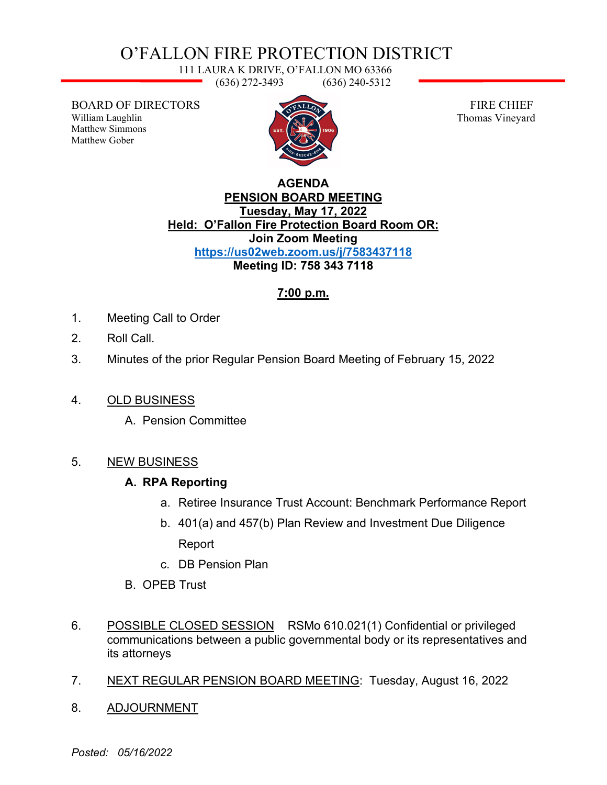# O'FALLON FIRE PROTECTION DISTRICT

111 LAURA K DRIVE, O'FALLON MO 63366 (636) 272-3493 (636) 240-5312

BOARD OF DIRECTORS William Laughlin Matthew Simmons Matthew Gober



 FIRE CHIEF Thomas Vineyard

#### **AGENDA PENSION BOARD MEETING Tuesday, May 17, 2022 Held: O'Fallon Fire Protection Board Room OR: Join Zoom Meeting <https://us02web.zoom.us/j/7583437118> Meeting ID: 758 343 7118**

## **7:00 p.m.**

- 1. Meeting Call to Order
- 2. Roll Call.
- 3. Minutes of the prior Regular Pension Board Meeting of February 15, 2022
- 4. OLD BUSINESS
	- A. Pension Committee

### 5. NEW BUSINESS

### **A. RPA Reporting**

- a. Retiree Insurance Trust Account: Benchmark Performance Report
- b. 401(a) and 457(b) Plan Review and Investment Due Diligence Report
- c. DB Pension Plan
- B. OPEB Trust
- 6. POSSIBLE CLOSED SESSION RSMo 610.021(1) Confidential or privileged communications between a public governmental body or its representatives and its attorneys
- 7. NEXT REGULAR PENSION BOARD MEETING: Tuesday, August 16, 2022
- 8. ADJOURNMENT

*Posted: 05/16/2022*